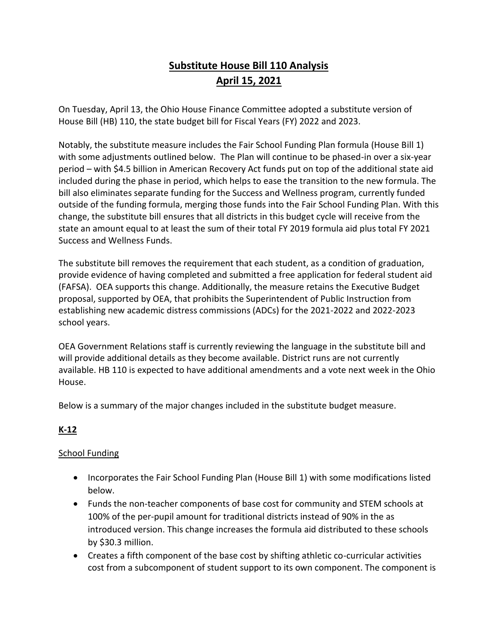# **Substitute House Bill 110 Analysis April 15, 2021**

On Tuesday, April 13, the Ohio House Finance Committee adopted a substitute version of House Bill (HB) 110, the state budget bill for Fiscal Years (FY) 2022 and 2023.

Notably, the substitute measure includes the Fair School Funding Plan formula (House Bill 1) with some adjustments outlined below. The Plan will continue to be phased-in over a six-year period – with \$4.5 billion in American Recovery Act funds put on top of the additional state aid included during the phase in period, which helps to ease the transition to the new formula. The bill also eliminates separate funding for the Success and Wellness program, currently funded outside of the funding formula, merging those funds into the Fair School Funding Plan. With this change, the substitute bill ensures that all districts in this budget cycle will receive from the state an amount equal to at least the sum of their total FY 2019 formula aid plus total FY 2021 Success and Wellness Funds.

The substitute bill removes the requirement that each student, as a condition of graduation, provide evidence of having completed and submitted a free application for federal student aid (FAFSA). OEA supports this change. Additionally, the measure retains the Executive Budget proposal, supported by OEA, that prohibits the Superintendent of Public Instruction from establishing new academic distress commissions (ADCs) for the 2021-2022 and 2022-2023 school years.

OEA Government Relations staff is currently reviewing the language in the substitute bill and will provide additional details as they become available. District runs are not currently available. HB 110 is expected to have additional amendments and a vote next week in the Ohio House.

Below is a summary of the major changes included in the substitute budget measure.

# **K-12**

### School Funding

- Incorporates the Fair School Funding Plan (House Bill 1) with some modifications listed below.
- Funds the non-teacher components of base cost for community and STEM schools at 100% of the per-pupil amount for traditional districts instead of 90% in the as introduced version. This change increases the formula aid distributed to these schools by \$30.3 million.
- Creates a fifth component of the base cost by shifting athletic co-curricular activities cost from a subcomponent of student support to its own component. The component is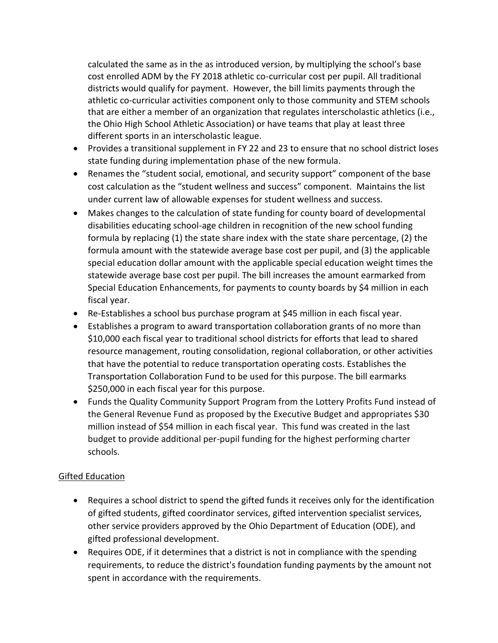calculated the same as in the as introduced version, by multiplying the school's base cost enrolled ADM by the FY 2018 athletic co-curricular cost per pupil. All traditional districts would qualify for payment. However, the bill limits payments through the athletic co-curricular activities component only to those community and STEM schools that are either a member of an organization that regulates interscholastic athletics (i.e., the Ohio High School Athletic Association) or have teams that play at least three different sports in an interscholastic league.

- Provides a transitional supplement in FY 22 and 23 to ensure that no school district loses state funding during implementation phase of the new formula.
- Renames the "student social, emotional, and security support" component of the base cost calculation as the "student wellness and success" component. Maintains the list under current law of allowable expenses for student wellness and success.
- Makes changes to the calculation of state funding for county board of developmental disabilities educating school-age children in recognition of the new school funding formula by replacing (1) the state share index with the state share percentage, (2) the formula amount with the statewide average base cost per pupil, and (3) the applicable special education dollar amount with the applicable special education weight times the statewide average base cost per pupil. The bill increases the amount earmarked from Special Education Enhancements, for payments to county boards by \$4 million in each fiscal year.
- Re-Establishes a school bus purchase program at \$45 million in each fiscal year.
- Establishes a program to award transportation collaboration grants of no more than \$10,000 each fiscal year to traditional school districts for efforts that lead to shared resource management, routing consolidation, regional collaboration, or other activities that have the potential to reduce transportation operating costs. Establishes the Transportation Collaboration Fund to be used for this purpose. The bill earmarks \$250,000 in each fiscal year for this purpose.
- Funds the Quality Community Support Program from the Lottery Profits Fund instead of the General Revenue Fund as proposed by the Executive Budget and appropriates \$30 million instead of \$54 million in each fiscal year. This fund was created in the last budget to provide additional per-pupil funding for the highest performing charter schools.

### Gifted Education

- Requires a school district to spend the gifted funds it receives only for the identification of gifted students, gifted coordinator services, gifted intervention specialist services, other service providers approved by the Ohio Department of Education (ODE), and gifted professional development.
- Requires ODE, if it determines that a district is not in compliance with the spending requirements, to reduce the district's foundation funding payments by the amount not spent in accordance with the requirements.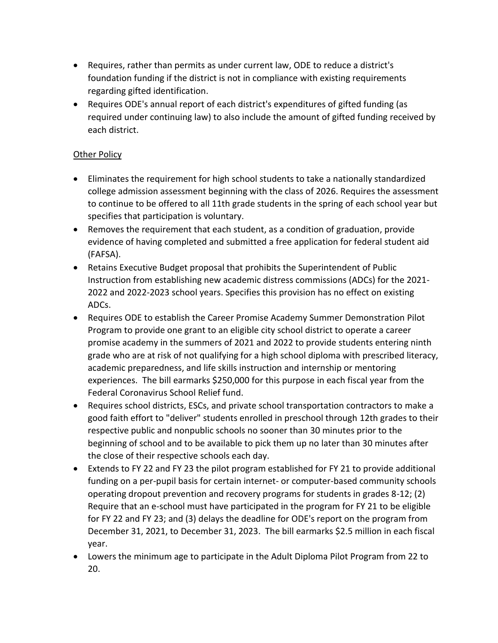- Requires, rather than permits as under current law, ODE to reduce a district's foundation funding if the district is not in compliance with existing requirements regarding gifted identification.
- Requires ODE's annual report of each district's expenditures of gifted funding (as required under continuing law) to also include the amount of gifted funding received by each district.

## **Other Policy**

- Eliminates the requirement for high school students to take a nationally standardized college admission assessment beginning with the class of 2026. Requires the assessment to continue to be offered to all 11th grade students in the spring of each school year but specifies that participation is voluntary.
- Removes the requirement that each student, as a condition of graduation, provide evidence of having completed and submitted a free application for federal student aid (FAFSA).
- Retains Executive Budget proposal that prohibits the Superintendent of Public Instruction from establishing new academic distress commissions (ADCs) for the 2021- 2022 and 2022-2023 school years. Specifies this provision has no effect on existing ADCs.
- Requires ODE to establish the Career Promise Academy Summer Demonstration Pilot Program to provide one grant to an eligible city school district to operate a career promise academy in the summers of 2021 and 2022 to provide students entering ninth grade who are at risk of not qualifying for a high school diploma with prescribed literacy, academic preparedness, and life skills instruction and internship or mentoring experiences. The bill earmarks \$250,000 for this purpose in each fiscal year from the Federal Coronavirus School Relief fund.
- Requires school districts, ESCs, and private school transportation contractors to make a good faith effort to "deliver" students enrolled in preschool through 12th grades to their respective public and nonpublic schools no sooner than 30 minutes prior to the beginning of school and to be available to pick them up no later than 30 minutes after the close of their respective schools each day.
- Extends to FY 22 and FY 23 the pilot program established for FY 21 to provide additional funding on a per-pupil basis for certain internet- or computer-based community schools operating dropout prevention and recovery programs for students in grades 8-12; (2) Require that an e-school must have participated in the program for FY 21 to be eligible for FY 22 and FY 23; and (3) delays the deadline for ODE's report on the program from December 31, 2021, to December 31, 2023. The bill earmarks \$2.5 million in each fiscal year.
- Lowers the minimum age to participate in the Adult Diploma Pilot Program from 22 to 20.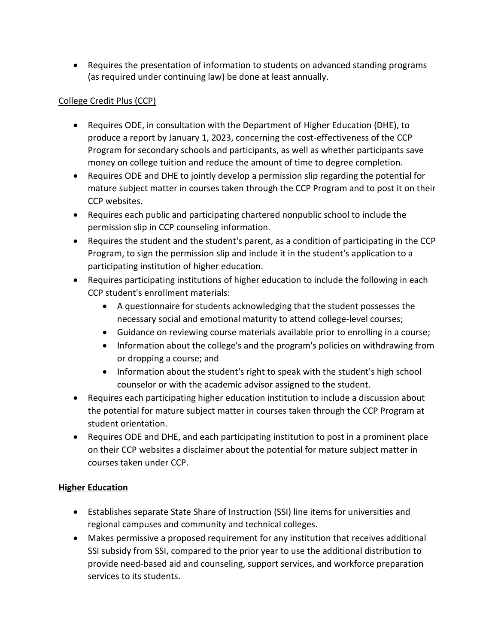• Requires the presentation of information to students on advanced standing programs (as required under continuing law) be done at least annually.

## College Credit Plus (CCP)

- Requires ODE, in consultation with the Department of Higher Education (DHE), to produce a report by January 1, 2023, concerning the cost-effectiveness of the CCP Program for secondary schools and participants, as well as whether participants save money on college tuition and reduce the amount of time to degree completion.
- Requires ODE and DHE to jointly develop a permission slip regarding the potential for mature subject matter in courses taken through the CCP Program and to post it on their CCP websites.
- Requires each public and participating chartered nonpublic school to include the permission slip in CCP counseling information.
- Requires the student and the student's parent, as a condition of participating in the CCP Program, to sign the permission slip and include it in the student's application to a participating institution of higher education.
- Requires participating institutions of higher education to include the following in each CCP student's enrollment materials:
	- A questionnaire for students acknowledging that the student possesses the necessary social and emotional maturity to attend college-level courses;
	- Guidance on reviewing course materials available prior to enrolling in a course;
	- Information about the college's and the program's policies on withdrawing from or dropping a course; and
	- Information about the student's right to speak with the student's high school counselor or with the academic advisor assigned to the student.
- Requires each participating higher education institution to include a discussion about the potential for mature subject matter in courses taken through the CCP Program at student orientation.
- Requires ODE and DHE, and each participating institution to post in a prominent place on their CCP websites a disclaimer about the potential for mature subject matter in courses taken under CCP.

### **Higher Education**

- Establishes separate State Share of Instruction (SSI) line items for universities and regional campuses and community and technical colleges.
- Makes permissive a proposed requirement for any institution that receives additional SSI subsidy from SSI, compared to the prior year to use the additional distribution to provide need-based aid and counseling, support services, and workforce preparation services to its students.